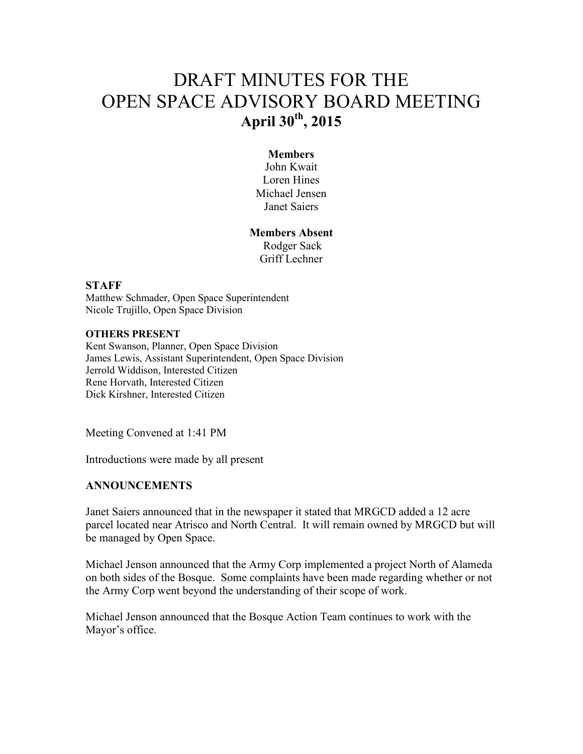# DRAFT MINUTES FOR THE OPEN SPACE ADVISORY BOARD MEETING **April 30th, 2015**

### **Members**

John Kwait Loren Hines Michael Jensen Janet Saiers

## **Members Absent**  Rodger Sack Griff Lechner

#### **STAFF**

Matthew Schmader, Open Space Superintendent Nicole Trujillo, Open Space Division

#### **OTHERS PRESENT**

Kent Swanson, Planner, Open Space Division James Lewis, Assistant Superintendent, Open Space Division Jerrold Widdison, Interested Citizen Rene Horvath, Interested Citizen Dick Kirshner, Interested Citizen

Meeting Convened at 1:41 PM

Introductions were made by all present

#### **ANNOUNCEMENTS**

Janet Saiers announced that in the newspaper it stated that MRGCD added a 12 acre parcel located near Atrisco and North Central. It will remain owned by MRGCD but will be managed by Open Space.

Michael Jenson announced that the Army Corp implemented a project North of Alameda on both sides of the Bosque. Some complaints have been made regarding whether or not the Army Corp went beyond the understanding of their scope of work.

Michael Jenson announced that the Bosque Action Team continues to work with the Mayor's office.